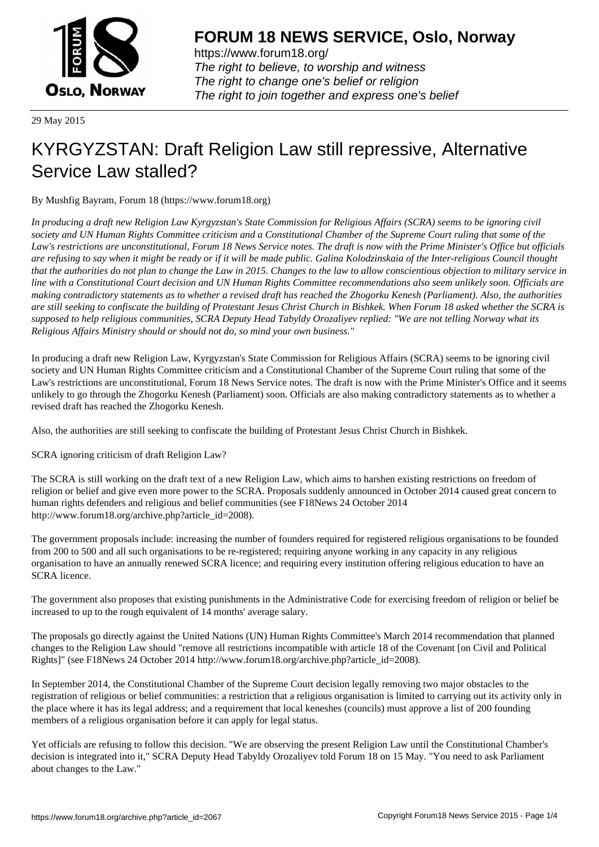

https://www.forum18.org/ The right to believe, to worship and witness The right to change one's belief or religion [The right to join together a](https://www.forum18.org/)nd express one's belief

29 May 2015

## [KYRGYZSTAN](https://www.forum18.org): Draft Religion Law still repressive, Alternative Service Law stalled?

By Mushfig Bayram, Forum 18 (https://www.forum18.org)

*In producing a draft new Religion Law Kyrgyzstan's State Commission for Religious Affairs (SCRA) seems to be ignoring civil society and UN Human Rights Committee criticism and a Constitutional Chamber of the Supreme Court ruling that some of the Law's restrictions are unconstitutional, Forum 18 News Service notes. The draft is now with the Prime Minister's Office but officials are refusing to say when it might be ready or if it will be made public. Galina Kolodzinskaia of the Inter-religious Council thought that the authorities do not plan to change the Law in 2015. Changes to the law to allow conscientious objection to military service in line with a Constitutional Court decision and UN Human Rights Committee recommendations also seem unlikely soon. Officials are making contradictory statements as to whether a revised draft has reached the Zhogorku Kenesh (Parliament). Also, the authorities are still seeking to confiscate the building of Protestant Jesus Christ Church in Bishkek. When Forum 18 asked whether the SCRA is supposed to help religious communities, SCRA Deputy Head Tabyldy Orozaliyev replied: "We are not telling Norway what its Religious Affairs Ministry should or should not do, so mind your own business."*

In producing a draft new Religion Law, Kyrgyzstan's State Commission for Religious Affairs (SCRA) seems to be ignoring civil society and UN Human Rights Committee criticism and a Constitutional Chamber of the Supreme Court ruling that some of the Law's restrictions are unconstitutional, Forum 18 News Service notes. The draft is now with the Prime Minister's Office and it seems unlikely to go through the Zhogorku Kenesh (Parliament) soon. Officials are also making contradictory statements as to whether a revised draft has reached the Zhogorku Kenesh.

Also, the authorities are still seeking to confiscate the building of Protestant Jesus Christ Church in Bishkek.

SCRA ignoring criticism of draft Religion Law?

The SCRA is still working on the draft text of a new Religion Law, which aims to harshen existing restrictions on freedom of religion or belief and give even more power to the SCRA. Proposals suddenly announced in October 2014 caused great concern to human rights defenders and religious and belief communities (see F18News 24 October 2014 http://www.forum18.org/archive.php?article\_id=2008).

The government proposals include: increasing the number of founders required for registered religious organisations to be founded from 200 to 500 and all such organisations to be re-registered; requiring anyone working in any capacity in any religious organisation to have an annually renewed SCRA licence; and requiring every institution offering religious education to have an SCRA licence.

The government also proposes that existing punishments in the Administrative Code for exercising freedom of religion or belief be increased to up to the rough equivalent of 14 months' average salary.

The proposals go directly against the United Nations (UN) Human Rights Committee's March 2014 recommendation that planned changes to the Religion Law should "remove all restrictions incompatible with article 18 of the Covenant [on Civil and Political Rights]" (see F18News 24 October 2014 http://www.forum18.org/archive.php?article\_id=2008).

In September 2014, the Constitutional Chamber of the Supreme Court decision legally removing two major obstacles to the registration of religious or belief communities: a restriction that a religious organisation is limited to carrying out its activity only in the place where it has its legal address; and a requirement that local keneshes (councils) must approve a list of 200 founding members of a religious organisation before it can apply for legal status.

Yet officials are refusing to follow this decision. "We are observing the present Religion Law until the Constitutional Chamber's decision is integrated into it," SCRA Deputy Head Tabyldy Orozaliyev told Forum 18 on 15 May. "You need to ask Parliament about changes to the Law."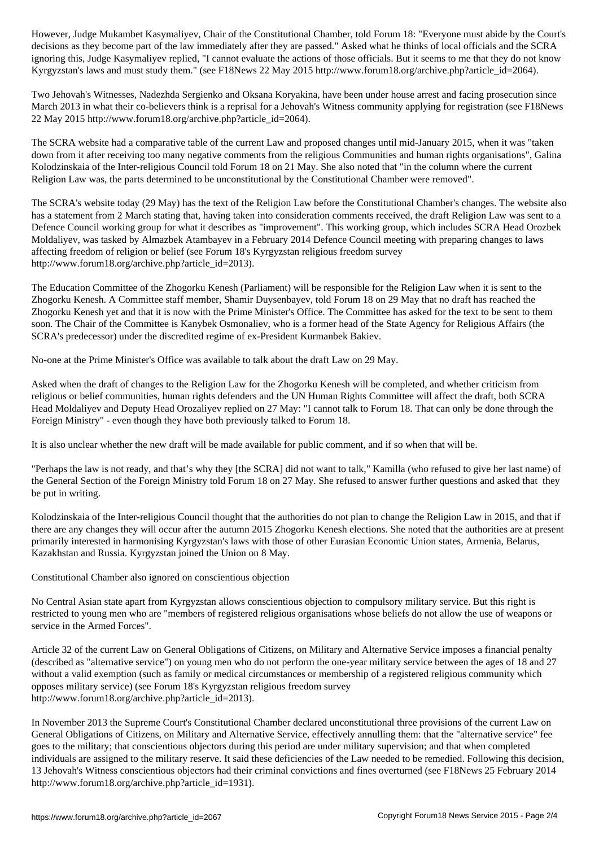decisions as they become part of the law immediately after they are passed." Asked what he thinks of local officials and the SCRA ignoring this, Judge Kasymaliyev replied, "I cannot evaluate the actions of those officials. But it seems to me that they do not know Kyrgyzstan's laws and must study them." (see F18News 22 May 2015 http://www.forum18.org/archive.php?article\_id=2064).

Two Jehovah's Witnesses, Nadezhda Sergienko and Oksana Koryakina, have been under house arrest and facing prosecution since March 2013 in what their co-believers think is a reprisal for a Jehovah's Witness community applying for registration (see F18News 22 May 2015 http://www.forum18.org/archive.php?article\_id=2064).

The SCRA website had a comparative table of the current Law and proposed changes until mid-January 2015, when it was "taken down from it after receiving too many negative comments from the religious Communities and human rights organisations", Galina Kolodzinskaia of the Inter-religious Council told Forum 18 on 21 May. She also noted that "in the column where the current Religion Law was, the parts determined to be unconstitutional by the Constitutional Chamber were removed".

The SCRA's website today (29 May) has the text of the Religion Law before the Constitutional Chamber's changes. The website also has a statement from 2 March stating that, having taken into consideration comments received, the draft Religion Law was sent to a Defence Council working group for what it describes as "improvement". This working group, which includes SCRA Head Orozbek Moldaliyev, was tasked by Almazbek Atambayev in a February 2014 Defence Council meeting with preparing changes to laws affecting freedom of religion or belief (see Forum 18's Kyrgyzstan religious freedom survey http://www.forum18.org/archive.php?article\_id=2013).

The Education Committee of the Zhogorku Kenesh (Parliament) will be responsible for the Religion Law when it is sent to the Zhogorku Kenesh. A Committee staff member, Shamir Duysenbayev, told Forum 18 on 29 May that no draft has reached the Zhogorku Kenesh yet and that it is now with the Prime Minister's Office. The Committee has asked for the text to be sent to them soon. The Chair of the Committee is Kanybek Osmonaliev, who is a former head of the State Agency for Religious Affairs (the SCRA's predecessor) under the discredited regime of ex-President Kurmanbek Bakiev.

No-one at the Prime Minister's Office was available to talk about the draft Law on 29 May.

Asked when the draft of changes to the Religion Law for the Zhogorku Kenesh will be completed, and whether criticism from religious or belief communities, human rights defenders and the UN Human Rights Committee will affect the draft, both SCRA Head Moldaliyev and Deputy Head Orozaliyev replied on 27 May: "I cannot talk to Forum 18. That can only be done through the Foreign Ministry" - even though they have both previously talked to Forum 18.

It is also unclear whether the new draft will be made available for public comment, and if so when that will be.

"Perhaps the law is not ready, and that's why they [the SCRA] did not want to talk," Kamilla (who refused to give her last name) of the General Section of the Foreign Ministry told Forum 18 on 27 May. She refused to answer further questions and asked that they be put in writing.

Kolodzinskaia of the Inter-religious Council thought that the authorities do not plan to change the Religion Law in 2015, and that if there are any changes they will occur after the autumn 2015 Zhogorku Kenesh elections. She noted that the authorities are at present primarily interested in harmonising Kyrgyzstan's laws with those of other Eurasian Economic Union states, Armenia, Belarus, Kazakhstan and Russia. Kyrgyzstan joined the Union on 8 May.

Constitutional Chamber also ignored on conscientious objection

No Central Asian state apart from Kyrgyzstan allows conscientious objection to compulsory military service. But this right is restricted to young men who are "members of registered religious organisations whose beliefs do not allow the use of weapons or service in the Armed Forces".

Article 32 of the current Law on General Obligations of Citizens, on Military and Alternative Service imposes a financial penalty (described as "alternative service") on young men who do not perform the one-year military service between the ages of 18 and 27 without a valid exemption (such as family or medical circumstances or membership of a registered religious community which opposes military service) (see Forum 18's Kyrgyzstan religious freedom survey http://www.forum18.org/archive.php?article\_id=2013).

In November 2013 the Supreme Court's Constitutional Chamber declared unconstitutional three provisions of the current Law on General Obligations of Citizens, on Military and Alternative Service, effectively annulling them: that the "alternative service" fee goes to the military; that conscientious objectors during this period are under military supervision; and that when completed individuals are assigned to the military reserve. It said these deficiencies of the Law needed to be remedied. Following this decision, 13 Jehovah's Witness conscientious objectors had their criminal convictions and fines overturned (see F18News 25 February 2014 http://www.forum18.org/archive.php?article\_id=1931).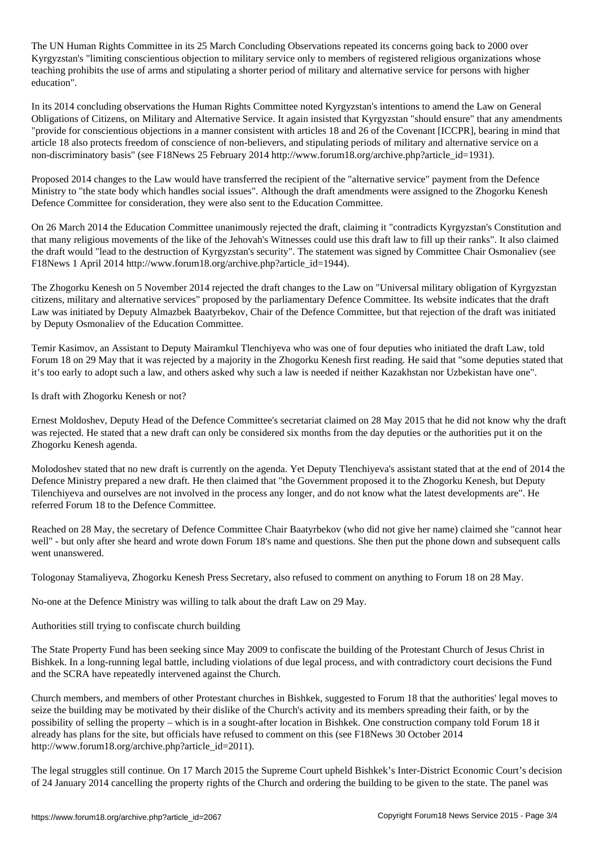The UN Human Rights Committee in its 25 March Concluding Observations repeated its concerns going back to 2000 over Kyrgyzstan's "limiting conscientious objection to military service only to members of registered religious organizations whose teaching prohibits the use of arms and stipulating a shorter period of military and alternative service for persons with higher education".

In its 2014 concluding observations the Human Rights Committee noted Kyrgyzstan's intentions to amend the Law on General Obligations of Citizens, on Military and Alternative Service. It again insisted that Kyrgyzstan "should ensure" that any amendments "provide for conscientious objections in a manner consistent with articles 18 and 26 of the Covenant [ICCPR], bearing in mind that article 18 also protects freedom of conscience of non-believers, and stipulating periods of military and alternative service on a non-discriminatory basis" (see F18News 25 February 2014 http://www.forum18.org/archive.php?article\_id=1931).

Proposed 2014 changes to the Law would have transferred the recipient of the "alternative service" payment from the Defence Ministry to "the state body which handles social issues". Although the draft amendments were assigned to the Zhogorku Kenesh Defence Committee for consideration, they were also sent to the Education Committee.

On 26 March 2014 the Education Committee unanimously rejected the draft, claiming it "contradicts Kyrgyzstan's Constitution and that many religious movements of the like of the Jehovah's Witnesses could use this draft law to fill up their ranks". It also claimed the draft would "lead to the destruction of Kyrgyzstan's security". The statement was signed by Committee Chair Osmonaliev (see F18News 1 April 2014 http://www.forum18.org/archive.php?article\_id=1944).

The Zhogorku Kenesh on 5 November 2014 rejected the draft changes to the Law on "Universal military obligation of Kyrgyzstan citizens, military and alternative services" proposed by the parliamentary Defence Committee. Its website indicates that the draft Law was initiated by Deputy Almazbek Baatyrbekov, Chair of the Defence Committee, but that rejection of the draft was initiated by Deputy Osmonaliev of the Education Committee.

Temir Kasimov, an Assistant to Deputy Mairamkul Tlenchiyeva who was one of four deputies who initiated the draft Law, told Forum 18 on 29 May that it was rejected by a majority in the Zhogorku Kenesh first reading. He said that "some deputies stated that it's too early to adopt such a law, and others asked why such a law is needed if neither Kazakhstan nor Uzbekistan have one".

Is draft with Zhogorku Kenesh or not?

Ernest Moldoshev, Deputy Head of the Defence Committee's secretariat claimed on 28 May 2015 that he did not know why the draft was rejected. He stated that a new draft can only be considered six months from the day deputies or the authorities put it on the Zhogorku Kenesh agenda.

Molodoshev stated that no new draft is currently on the agenda. Yet Deputy Tlenchiyeva's assistant stated that at the end of 2014 the Defence Ministry prepared a new draft. He then claimed that "the Government proposed it to the Zhogorku Kenesh, but Deputy Tilenchiyeva and ourselves are not involved in the process any longer, and do not know what the latest developments are". He referred Forum 18 to the Defence Committee.

Reached on 28 May, the secretary of Defence Committee Chair Baatyrbekov (who did not give her name) claimed she "cannot hear well" - but only after she heard and wrote down Forum 18's name and questions. She then put the phone down and subsequent calls went unanswered.

Tologonay Stamaliyeva, Zhogorku Kenesh Press Secretary, also refused to comment on anything to Forum 18 on 28 May.

No-one at the Defence Ministry was willing to talk about the draft Law on 29 May.

Authorities still trying to confiscate church building

The State Property Fund has been seeking since May 2009 to confiscate the building of the Protestant Church of Jesus Christ in Bishkek. In a long-running legal battle, including violations of due legal process, and with contradictory court decisions the Fund and the SCRA have repeatedly intervened against the Church.

Church members, and members of other Protestant churches in Bishkek, suggested to Forum 18 that the authorities' legal moves to seize the building may be motivated by their dislike of the Church's activity and its members spreading their faith, or by the possibility of selling the property – which is in a sought-after location in Bishkek. One construction company told Forum 18 it already has plans for the site, but officials have refused to comment on this (see F18News 30 October 2014 http://www.forum18.org/archive.php?article\_id=2011).

The legal struggles still continue. On 17 March 2015 the Supreme Court upheld Bishkek's Inter-District Economic Court's decision of 24 January 2014 cancelling the property rights of the Church and ordering the building to be given to the state. The panel was